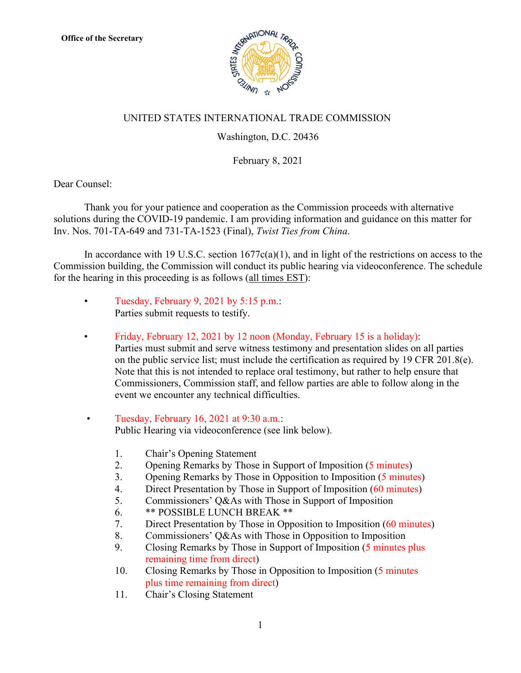

## UNITED STATES INTERNATIONAL TRADE COMMISSION

## Washington, D.C. 20436

## February 8, 2021

Dear Counsel:

Thank you for your patience and cooperation as the Commission proceeds with alternative solutions during the COVID-19 pandemic. I am providing information and guidance on this matter for Inv. Nos. 701-TA-649 and 731-TA-1523 (Final), *Twist Ties from China*.

In accordance with 19 U.S.C. section  $1677c(a)(1)$ , and in light of the restrictions on access to the Commission building, the Commission will conduct its public hearing via videoconference. The schedule for the hearing in this proceeding is as follows (all times EST):

- Tuesday, February 9, 2021 by 5:15 p.m.: Parties submit requests to testify.
- Friday, February 12, 2021 by 12 noon (Monday, February 15 is a holiday): Parties must submit and serve witness testimony and presentation slides on all parties on the public service list; must include the certification as required by 19 CFR 201.8(e). Note that this is not intended to replace oral testimony, but rather to help ensure that Commissioners, Commission staff, and fellow parties are able to follow along in the event we encounter any technical difficulties.
- Tuesday, February 16, 2021 at 9:30 a.m.: Public Hearing via videoconference (see link below).
	- 1. Chair's Opening Statement
	- 2. Opening Remarks by Those in Support of Imposition (5 minutes)
	- 3. Opening Remarks by Those in Opposition to Imposition (5 minutes)
	- 4. Direct Presentation by Those in Support of Imposition (60 minutes)
	- 5. Commissioners' Q&As with Those in Support of Imposition
	- 6. \*\* POSSIBLE LUNCH BREAK \*\*
	- 7. Direct Presentation by Those in Opposition to Imposition (60 minutes)
	- 8. Commissioners' Q&As with Those in Opposition to Imposition
	- 9. Closing Remarks by Those in Support of Imposition (5 minutes plus remaining time from direct)
	- 10. Closing Remarks by Those in Opposition to Imposition (5 minutes plus time remaining from direct)
	- 11. Chair's Closing Statement